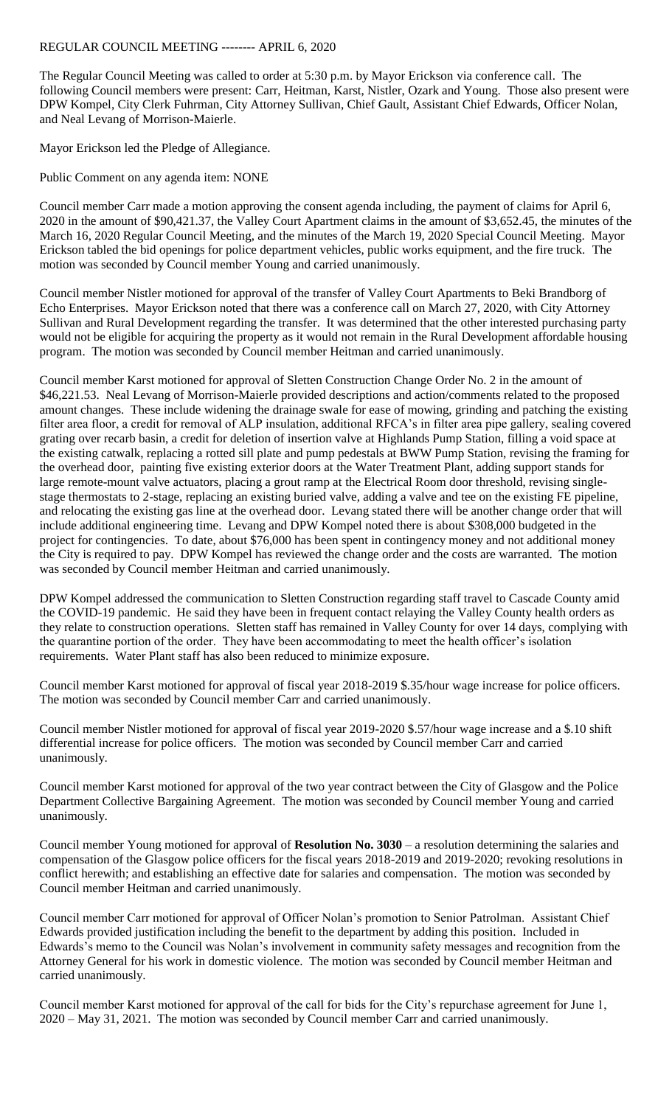## REGULAR COUNCIL MEETING -------- APRIL 6, 2020

The Regular Council Meeting was called to order at 5:30 p.m. by Mayor Erickson via conference call. The following Council members were present: Carr, Heitman, Karst, Nistler, Ozark and Young. Those also present were DPW Kompel, City Clerk Fuhrman, City Attorney Sullivan, Chief Gault, Assistant Chief Edwards, Officer Nolan, and Neal Levang of Morrison-Maierle.

Mayor Erickson led the Pledge of Allegiance.

Public Comment on any agenda item: NONE

Council member Carr made a motion approving the consent agenda including, the payment of claims for April 6, 2020 in the amount of \$90,421.37, the Valley Court Apartment claims in the amount of \$3,652.45, the minutes of the March 16, 2020 Regular Council Meeting, and the minutes of the March 19, 2020 Special Council Meeting. Mayor Erickson tabled the bid openings for police department vehicles, public works equipment, and the fire truck. The motion was seconded by Council member Young and carried unanimously.

Council member Nistler motioned for approval of the transfer of Valley Court Apartments to Beki Brandborg of Echo Enterprises. Mayor Erickson noted that there was a conference call on March 27, 2020, with City Attorney Sullivan and Rural Development regarding the transfer. It was determined that the other interested purchasing party would not be eligible for acquiring the property as it would not remain in the Rural Development affordable housing program. The motion was seconded by Council member Heitman and carried unanimously.

Council member Karst motioned for approval of Sletten Construction Change Order No. 2 in the amount of \$46,221.53. Neal Levang of Morrison-Maierle provided descriptions and action/comments related to the proposed amount changes. These include widening the drainage swale for ease of mowing, grinding and patching the existing filter area floor, a credit for removal of ALP insulation, additional RFCA's in filter area pipe gallery, sealing covered grating over recarb basin, a credit for deletion of insertion valve at Highlands Pump Station, filling a void space at the existing catwalk, replacing a rotted sill plate and pump pedestals at BWW Pump Station, revising the framing for the overhead door, painting five existing exterior doors at the Water Treatment Plant, adding support stands for large remote-mount valve actuators, placing a grout ramp at the Electrical Room door threshold, revising singlestage thermostats to 2-stage, replacing an existing buried valve, adding a valve and tee on the existing FE pipeline, and relocating the existing gas line at the overhead door. Levang stated there will be another change order that will include additional engineering time. Levang and DPW Kompel noted there is about \$308,000 budgeted in the project for contingencies. To date, about \$76,000 has been spent in contingency money and not additional money the City is required to pay. DPW Kompel has reviewed the change order and the costs are warranted. The motion was seconded by Council member Heitman and carried unanimously.

DPW Kompel addressed the communication to Sletten Construction regarding staff travel to Cascade County amid the COVID-19 pandemic. He said they have been in frequent contact relaying the Valley County health orders as they relate to construction operations. Sletten staff has remained in Valley County for over 14 days, complying with the quarantine portion of the order. They have been accommodating to meet the health officer's isolation requirements. Water Plant staff has also been reduced to minimize exposure.

Council member Karst motioned for approval of fiscal year 2018-2019 \$.35/hour wage increase for police officers. The motion was seconded by Council member Carr and carried unanimously.

Council member Nistler motioned for approval of fiscal year 2019-2020 \$.57/hour wage increase and a \$.10 shift differential increase for police officers. The motion was seconded by Council member Carr and carried unanimously.

Council member Karst motioned for approval of the two year contract between the City of Glasgow and the Police Department Collective Bargaining Agreement. The motion was seconded by Council member Young and carried unanimously.

Council member Young motioned for approval of **Resolution No. 3030** – a resolution determining the salaries and compensation of the Glasgow police officers for the fiscal years 2018-2019 and 2019-2020; revoking resolutions in conflict herewith; and establishing an effective date for salaries and compensation. The motion was seconded by Council member Heitman and carried unanimously.

Council member Carr motioned for approval of Officer Nolan's promotion to Senior Patrolman. Assistant Chief Edwards provided justification including the benefit to the department by adding this position. Included in Edwards's memo to the Council was Nolan's involvement in community safety messages and recognition from the Attorney General for his work in domestic violence. The motion was seconded by Council member Heitman and carried unanimously.

Council member Karst motioned for approval of the call for bids for the City's repurchase agreement for June 1, 2020 – May 31, 2021. The motion was seconded by Council member Carr and carried unanimously.